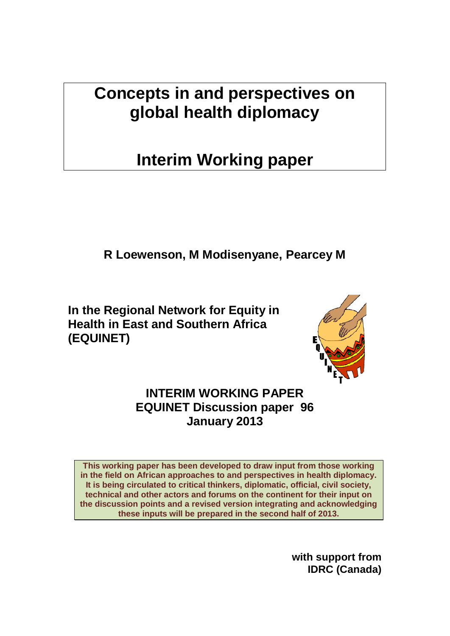**Concepts in and perspectives on global health diplomacy**

# **Interim Working paper**

**R Loewenson, M Modisenyane, Pearcey M** 

**In the Regional Network for Equity in Health in East and Southern Africa (EQUINET)** 



**INTERIM WORKING PAPER EQUINET Discussion paper 96 January 2013** 

**This working paper has been developed to draw input from those working in the field on African approaches to and perspectives in health diplomacy. It is being circulated to critical thinkers, diplomatic, official, civil society, technical and other actors and forums on the continent for their input on the discussion points and a revised version integrating and acknowledging these inputs will be prepared in the second half of 2013.**

> **with support from IDRC (Canada)**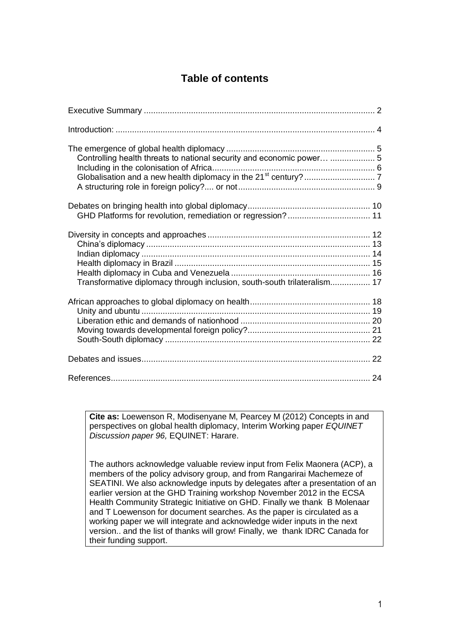### **Table of contents**

| Controlling health threats to national security and economic power  5    |  |
|--------------------------------------------------------------------------|--|
| GHD Platforms for revolution, remediation or regression? 11              |  |
| Transformative diplomacy through inclusion, south-south trilateralism 17 |  |
|                                                                          |  |
|                                                                          |  |
|                                                                          |  |

**Cite as:** Loewenson R, Modisenyane M, Pearcey M (2012) Concepts in and perspectives on global health diplomacy, Interim Working paper *EQUINET Discussion paper 96,* EQUINET: Harare.

The authors acknowledge valuable review input from Felix Maonera (ACP), a members of the policy advisory group, and from Rangarirai Machemeze of SEATINI. We also acknowledge inputs by delegates after a presentation of an earlier version at the GHD Training workshop November 2012 in the ECSA Health Community Strategic Initiative on GHD. Finally we thank B Molenaar and T Loewenson for document searches. As the paper is circulated as a working paper we will integrate and acknowledge wider inputs in the next version.. and the list of thanks will grow! Finally, we thank IDRC Canada for their funding support.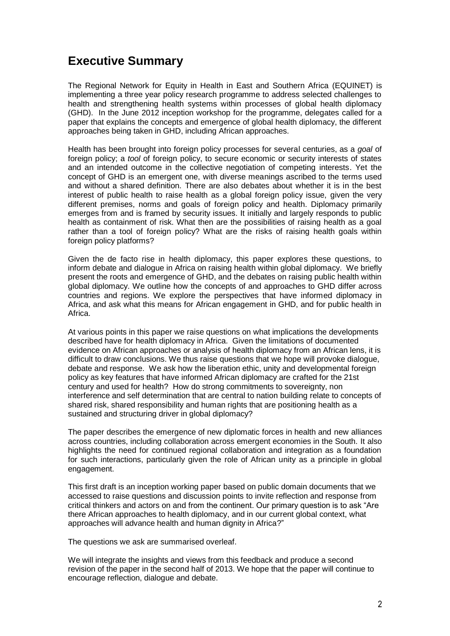# <span id="page-2-0"></span>**Executive Summary**

The Regional Network for Equity in Health in East and Southern Africa (EQUINET) is implementing a three year policy research programme to address selected challenges to health and strengthening health systems within processes of global health diplomacy (GHD). In the June 2012 inception workshop for the programme, delegates called for a paper that explains the concepts and emergence of global health diplomacy, the different approaches being taken in GHD, including African approaches.

Health has been brought into foreign policy processes for several centuries, as a *goal* of foreign policy; a *tool* of foreign policy, to secure economic or security interests of states and an intended outcome in the collective negotiation of competing interests. Yet the concept of GHD is an emergent one, with diverse meanings ascribed to the terms used and without a shared definition. There are also debates about whether it is in the best interest of public health to raise health as a global foreign policy issue, given the very different premises, norms and goals of foreign policy and health. Diplomacy primarily emerges from and is framed by security issues. It initially and largely responds to public health as containment of risk. What then are the possibilities of raising health as a goal rather than a tool of foreign policy? What are the risks of raising health goals within foreign policy platforms?

Given the de facto rise in health diplomacy, this paper explores these questions, to inform debate and dialogue in Africa on raising health within global diplomacy. We briefly present the roots and emergence of GHD, and the debates on raising public health within global diplomacy. We outline how the concepts of and approaches to GHD differ across countries and regions. We explore the perspectives that have informed diplomacy in Africa, and ask what this means for African engagement in GHD, and for public health in Africa.

At various points in this paper we raise questions on what implications the developments described have for health diplomacy in Africa. Given the limitations of documented evidence on African approaches or analysis of health diplomacy from an African lens, it is difficult to draw conclusions. We thus raise questions that we hope will provoke dialogue, debate and response. We ask how the liberation ethic, unity and developmental foreign policy as key features that have informed African diplomacy are crafted for the 21st century and used for health? How do strong commitments to sovereignty, non interference and self determination that are central to nation building relate to concepts of shared risk, shared responsibility and human rights that are positioning health as a sustained and structuring driver in global diplomacy?

The paper describes the emergence of new diplomatic forces in health and new alliances across countries, including collaboration across emergent economies in the South. It also highlights the need for continued regional collaboration and integration as a foundation for such interactions, particularly given the role of African unity as a principle in global engagement.

This first draft is an inception working paper based on public domain documents that we accessed to raise questions and discussion points to invite reflection and response from critical thinkers and actors on and from the continent. Our primary question is to ask "Are there African approaches to health diplomacy, and in our current global context, what approaches will advance health and human dignity in Africa?"

The questions we ask are summarised overleaf.

We will integrate the insights and views from this feedback and produce a second revision of the paper in the second half of 2013. We hope that the paper will continue to encourage reflection, dialogue and debate.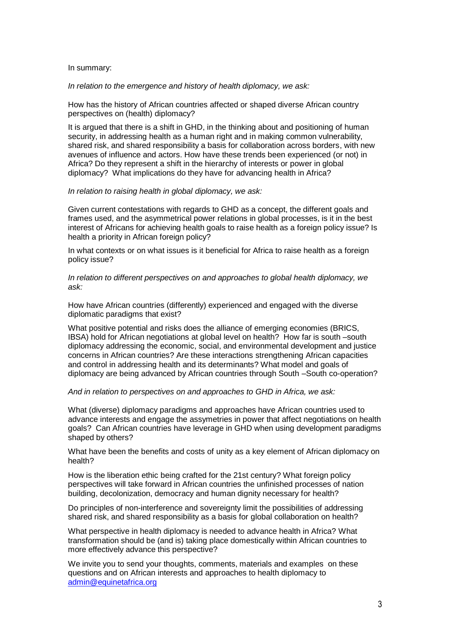In summary:

*In relation to the emergence and history of health diplomacy, we ask:*

How has the history of African countries affected or shaped diverse African country perspectives on (health) diplomacy?

It is argued that there is a shift in GHD, in the thinking about and positioning of human security, in addressing health as a human right and in making common vulnerability, shared risk, and shared responsibility a basis for collaboration across borders, with new avenues of influence and actors. How have these trends been experienced (or not) in Africa? Do they represent a shift in the hierarchy of interests or power in global diplomacy? What implications do they have for advancing health in Africa?

#### *In relation to raising health in global diplomacy, we ask:*

Given current contestations with regards to GHD as a concept, the different goals and frames used, and the asymmetrical power relations in global processes, is it in the best interest of Africans for achieving health goals to raise health as a foreign policy issue? Is health a priority in African foreign policy?

In what contexts or on what issues is it beneficial for Africa to raise health as a foreign policy issue?

*In relation to different perspectives on and approaches to global health diplomacy, we ask:*

How have African countries (differently) experienced and engaged with the diverse diplomatic paradigms that exist?

What positive potential and risks does the alliance of emerging economies (BRICS, IBSA) hold for African negotiations at global level on health? How far is south –south diplomacy addressing the economic, social, and environmental development and justice concerns in African countries? Are these interactions strengthening African capacities and control in addressing health and its determinants? What model and goals of diplomacy are being advanced by African countries through South –South co-operation?

*And in relation to perspectives on and approaches to GHD in Africa, we ask:*

What (diverse) diplomacy paradigms and approaches have African countries used to advance interests and engage the assymetries in power that affect negotiations on health goals? Can African countries have leverage in GHD when using development paradigms shaped by others?

What have been the benefits and costs of unity as a key element of African diplomacy on health?

How is the liberation ethic being crafted for the 21st century? What foreign policy perspectives will take forward in African countries the unfinished processes of nation building, decolonization, democracy and human dignity necessary for health?

Do principles of non-interference and sovereignty limit the possibilities of addressing shared risk, and shared responsibility as a basis for global collaboration on health?

What perspective in health diplomacy is needed to advance health in Africa? What transformation should be (and is) taking place domestically within African countries to more effectively advance this perspective?

We invite you to send your thoughts, comments, materials and examples on these questions and on African interests and approaches to health diplomacy to [admin@equinetafrica.org](mailto:admin@equinetafrica.org)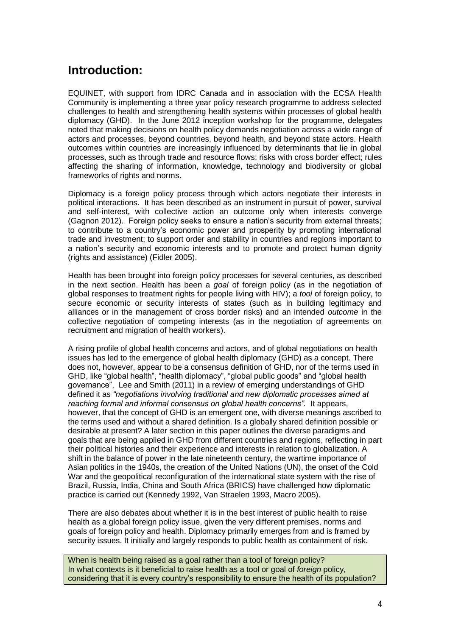# <span id="page-4-0"></span>**Introduction:**

EQUINET, with support from IDRC Canada and in association with the ECSA Health Community is implementing a three year policy research programme to address selected challenges to health and strengthening health systems within processes of global health diplomacy (GHD). In the June 2012 inception workshop for the programme, delegates noted that making decisions on health policy demands negotiation across a wide range of actors and processes, beyond countries, beyond health, and beyond state actors. Health outcomes within countries are increasingly influenced by determinants that lie in global processes, such as through trade and resource flows; risks with cross border effect; rules affecting the sharing of information, knowledge, technology and biodiversity or global frameworks of rights and norms.

Diplomacy is a foreign policy process through which actors negotiate their interests in political interactions. It has been described as an instrument in pursuit of power, survival and self-interest, with collective action an outcome only when interests converge (Gagnon 2012). Foreign policy seeks to ensure a nation's security from external threats; to contribute to a country's economic power and prosperity by promoting international trade and investment; to support order and stability in countries and regions important to a nation's security and economic interests and to promote and protect human dignity (rights and assistance) (Fidler 2005).

Health has been brought into foreign policy processes for several centuries, as described in the next section. Health has been a *goal* of foreign policy (as in the negotiation of global responses to treatment rights for people living with HIV); a *tool* of foreign policy, to secure economic or security interests of states (such as in building legitimacy and alliances or in the management of cross border risks) and an intended *outcome* in the collective negotiation of competing interests (as in the negotiation of agreements on recruitment and migration of health workers).

A rising profile of global health concerns and actors, and of global negotiations on health issues has led to the emergence of global health diplomacy (GHD) as a concept. There does not, however, appear to be a consensus definition of GHD, nor of the terms used in GHD, like "global health", "health diplomacy", "global public goods" and "global health governance". Lee and Smith (2011) in a review of emerging understandings of GHD defined it as *"negotiations involving traditional and new diplomatic processes aimed at reaching formal and informal consensus on global health concerns".* It appears, however, that the concept of GHD is an emergent one, with diverse meanings ascribed to the terms used and without a shared definition. Is a globally shared definition possible or desirable at present? A later section in this paper outlines the diverse paradigms and goals that are being applied in GHD from different countries and regions, reflecting in part their political histories and their experience and interests in relation to globalization. A shift in the balance of power in the late nineteenth century, the wartime importance of Asian politics in the 1940s, the creation of the United Nations (UN), the onset of the Cold War and the geopolitical reconfiguration of the international state system with the rise of Brazil, Russia, India, China and South Africa (BRICS) have challenged how diplomatic practice is carried out (Kennedy 1992, Van Straelen 1993, Macro 2005).

There are also debates about whether it is in the best interest of public health to raise health as a global foreign policy issue, given the very different premises, norms and goals of foreign policy and health. Diplomacy primarily emerges from and is framed by security issues. It initially and largely responds to public health as containment of risk.

When is health being raised as a goal rather than a tool of foreign policy? In what contexts is it beneficial to raise health as a tool or goal of *foreign* policy, considering that it is every country's responsibility to ensure the health of its population?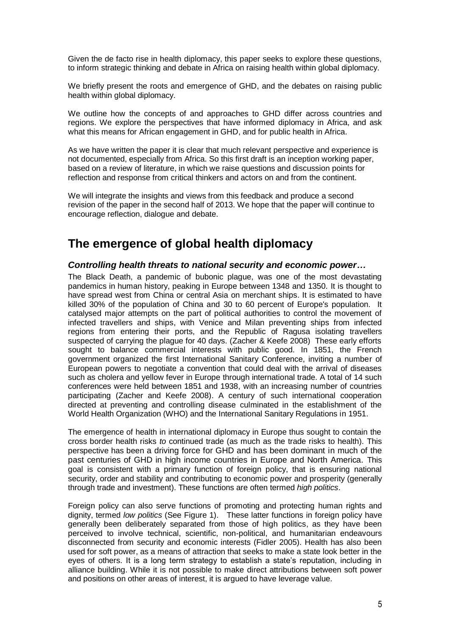Given the de facto rise in health diplomacy, this paper seeks to explore these questions, to inform strategic thinking and debate in Africa on raising health within global diplomacy.

We briefly present the roots and emergence of GHD, and the debates on raising public health within global diplomacy.

We outline how the concepts of and approaches to GHD differ across countries and regions. We explore the perspectives that have informed diplomacy in Africa, and ask what this means for African engagement in GHD, and for public health in Africa.

As we have written the paper it is clear that much relevant perspective and experience is not documented, especially from Africa. So this first draft is an inception working paper, based on a review of literature, in which we raise questions and discussion points for reflection and response from critical thinkers and actors on and from the continent.

We will integrate the insights and views from this feedback and produce a second revision of the paper in the second half of 2013. We hope that the paper will continue to encourage reflection, dialogue and debate.

### <span id="page-5-0"></span>**The emergence of global health diplomacy**

#### <span id="page-5-1"></span>*Controlling health threats to national security and economic power…*

The Black Death, a pandemic of bubonic plague, was one of the most devastating pandemics in human history, peaking in Europe between 1348 and 1350. It is thought to have spread west from China or central Asia on merchant ships. It is estimated to have killed 30% of the population of China and 30 to 60 percent of Europe's population. It catalysed major attempts on the part of political authorities to control the movement of infected travellers and ships, with Venice and Milan preventing ships from infected regions from entering their ports, and the Republic of Ragusa isolating travellers suspected of carrying the plague for 40 days. (Zacher & Keefe 2008) These early efforts sought to balance commercial interests with public good. In 1851, the French government organized the first International Sanitary Conference, inviting a number of European powers to negotiate a convention that could deal with the arrival of diseases such as cholera and yellow fever in Europe through international trade. A total of 14 such conferences were held between 1851 and 1938, with an increasing number of countries participating (Zacher and Keefe 2008). A century of such international cooperation directed at preventing and controlling disease culminated in the establishment of the World Health Organization (WHO) and the International Sanitary Regulations in 1951.

The emergence of health in international diplomacy in Europe thus sought to contain the cross border health risks *to* continued trade (as much as the trade risks to health). This perspective has been a driving force for GHD and has been dominant in much of the past centuries of GHD in high income countries in Europe and North America. This goal is consistent with a primary function of foreign policy, that is ensuring national security, order and stability and contributing to economic power and prosperity (generally through trade and investment). These functions are often termed *high politics*.

Foreign policy can also serve functions of promoting and protecting human rights and dignity, termed *low politics* (See Figure 1). These latter functions in foreign policy have generally been deliberately separated from those of high politics, as they have been perceived to involve technical, scientific, non-political, and humanitarian endeavours disconnected from security and economic interests (Fidler 2005). Health has also been used for soft power, as a means of attraction that seeks to make a state look better in the eyes of others. It is a long term strategy to establish a state's reputation, including in alliance building. While it is not possible to make direct attributions between soft power and positions on other areas of interest, it is argued to have leverage value.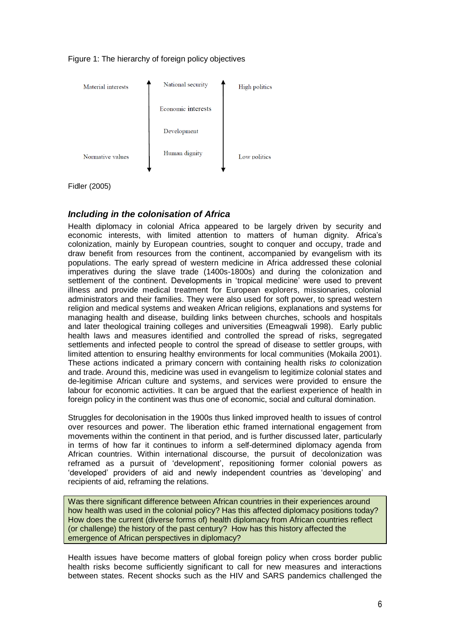



Fidler (2005)

#### <span id="page-6-0"></span>*Including in the colonisation of Africa*

Health diplomacy in colonial Africa appeared to be largely driven by security and economic interests, with limited attention to matters of human dignity. Africa's colonization, mainly by European countries, sought to conquer and occupy, trade and draw benefit from resources from the continent, accompanied by evangelism with its populations. The early spread of western medicine in Africa addressed these colonial imperatives during the slave trade (1400s-1800s) and during the colonization and settlement of the continent. Developments in 'tropical medicine' were used to prevent illness and provide medical treatment for European explorers, missionaries, colonial administrators and their families. They were also used for soft power, to spread western religion and medical systems and weaken African religions, explanations and systems for managing health and disease, building links between churches, schools and hospitals and later theological training colleges and universities (Emeagwali 1998). Early public health laws and measures identified and controlled the spread of risks, segregated settlements and infected people to control the spread of disease to settler groups, with limited attention to ensuring healthy environments for local communities (Mokaila 2001). These actions indicated a primary concern with containing health risks *to* colonization and trade. Around this, medicine was used in evangelism to legitimize colonial states and de-legitimise African culture and systems, and services were provided to ensure the labour for economic activities. It can be argued that the earliest experience of health in foreign policy in the continent was thus one of economic, social and cultural domination.

Struggles for decolonisation in the 1900s thus linked improved health to issues of control over resources and power. The liberation ethic framed international engagement from movements within the continent in that period, and is further discussed later, particularly in terms of how far it continues to inform a self-determined diplomacy agenda from African countries. Within international discourse, the pursuit of decolonization was reframed as a pursuit of 'development', repositioning former colonial powers as 'developed' providers of aid and newly independent countries as 'developing' and recipients of aid, reframing the relations.

Was there significant difference between African countries in their experiences around how health was used in the colonial policy? Has this affected diplomacy positions today? How does the current (diverse forms of) health diplomacy from African countries reflect (or challenge) the history of the past century? How has this history affected the emergence of African perspectives in diplomacy?

Health issues have become matters of global foreign policy when cross border public health risks become sufficiently significant to call for new measures and interactions between states. Recent shocks such as the HIV and SARS pandemics challenged the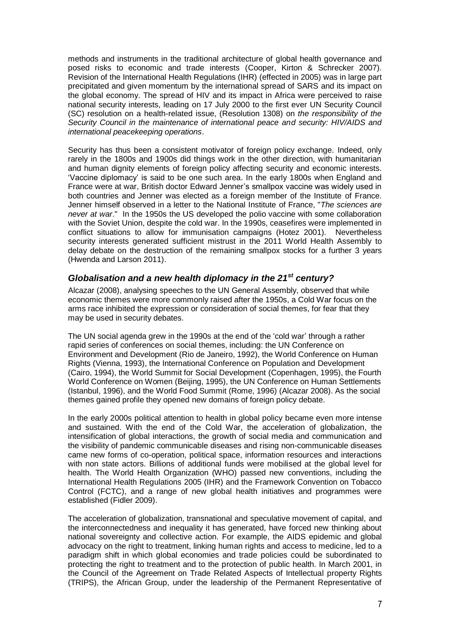methods and instruments in the traditional architecture of global health governance and posed risks to economic and trade interests (Cooper, Kirton & Schrecker 2007). Revision of the International Health Regulations (IHR) (effected in 2005) was in large part precipitated and given momentum by the international spread of SARS and its impact on the global economy. The spread of HIV and its impact in Africa were perceived to raise national security interests, leading on 17 July 2000 to the first ever UN Security Council (SC) resolution on a health-related issue, (Resolution 1308) on *the responsibility of the Security Council in the maintenance of international peace and security: HIV/AIDS and international peacekeeping operations*.

Security has thus been a consistent motivator of foreign policy exchange. Indeed, only rarely in the 1800s and 1900s did things work in the other direction, with humanitarian and human dignity elements of foreign policy affecting security and economic interests. 'Vaccine diplomacy' is said to be one such area. In the early 1800s when England and France were at war, British doctor Edward Jenner's smallpox vaccine was widely used in both countries and Jenner was elected as a foreign member of the Institute of France. Jenner himself observed in a letter to the National Institute of France, "*The sciences are never at war*." In the 1950s the US developed the polio vaccine with some collaboration with the Soviet Union, despite the cold war. In the 1990s, ceasefires were implemented in conflict situations to allow for immunisation campaigns (Hotez 2001). Nevertheless security interests generated sufficient mistrust in the 2011 World Health Assembly to delay debate on the destruction of the remaining smallpox stocks for a further 3 years (Hwenda and Larson 2011).

#### <span id="page-7-0"></span>*Globalisation and a new health diplomacy in the 21st century?*

Alcazar (2008), analysing speeches to the UN General Assembly, observed that while economic themes were more commonly raised after the 1950s, a Cold War focus on the arms race inhibited the expression or consideration of social themes, for fear that they may be used in security debates.

The UN social agenda grew in the 1990s at the end of the 'cold war' through a rather rapid series of conferences on social themes, including: the UN Conference on Environment and Development (Rio de Janeiro, 1992), the World Conference on Human Rights (Vienna, 1993), the International Conference on Population and Development (Cairo, 1994), the World Summit for Social Development (Copenhagen, 1995), the Fourth World Conference on Women (Beijing, 1995), the UN Conference on Human Settlements (Istanbul, 1996), and the World Food Summit (Rome, 1996) (Alcazar 2008). As the social themes gained profile they opened new domains of foreign policy debate.

In the early 2000s political attention to health in global policy became even more intense and sustained. With the end of the Cold War, the acceleration of globalization, the intensification of global interactions, the growth of social media and communication and the visibility of pandemic communicable diseases and rising non-communicable diseases came new forms of co-operation, political space, information resources and interactions with non state actors. Billions of additional funds were mobilised at the global level for health. The World Health Organization (WHO) passed new conventions, including the International Health Regulations 2005 (IHR) and the Framework Convention on Tobacco Control (FCTC), and a range of new global health initiatives and programmes were established (Fidler 2009).

The acceleration of globalization, transnational and speculative movement of capital, and the interconnectedness and inequality it has generated, have forced new thinking about national sovereignty and collective action. For example, the AIDS epidemic and global advocacy on the right to treatment, linking human rights and access to medicine, led to a paradigm shift in which global economies and trade policies could be subordinated to protecting the right to treatment and to the protection of public health. In March 2001, in the Council of the Agreement on Trade Related Aspects of Intellectual property Rights (TRIPS), the African Group, under the leadership of the Permanent Representative of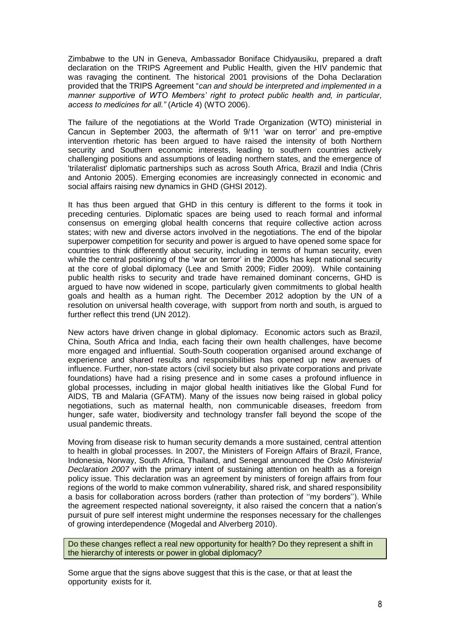Zimbabwe to the UN in Geneva, Ambassador Boniface Chidyausiku, prepared a draft declaration on the TRIPS Agreement and Public Health, given the HIV pandemic that was ravaging the continent. The historical 2001 provisions of the Doha Declaration provided that the TRIPS Agreement "*can and should be interpreted and implemented in a manner supportive of WTO Members' right to protect public health and, in particular, access to medicines for all."* (Article 4) (WTO 2006).

The failure of the negotiations at the World Trade Organization (WTO) ministerial in Cancun in September 2003, the aftermath of 9/11 'war on terror' and pre-emptive intervention rhetoric has been argued to have raised the intensity of both Northern security and Southern economic interests, leading to southern countries actively challenging positions and assumptions of leading northern states, and the emergence of 'trilateralist' diplomatic partnerships such as across South Africa, Brazil and India (Chris and Antonio 2005). Emerging economies are increasingly connected in economic and social affairs raising new dynamics in GHD (GHSI 2012).

It has thus been argued that GHD in this century is different to the forms it took in preceding centuries. Diplomatic spaces are being used to reach formal and informal consensus on emerging global health concerns that require collective action across states; with new and diverse actors involved in the negotiations. The end of the bipolar superpower competition for security and power is argued to have opened some space for countries to think differently about security, including in terms of human security, even while the central positioning of the 'war on terror' in the 2000s has kept national security at the core of global diplomacy (Lee and Smith 2009; Fidler 2009). While containing public health risks to security and trade have remained dominant concerns, GHD is argued to have now widened in scope, particularly given commitments to global health goals and health as a human right. The December 2012 adoption by the UN of a resolution on universal health coverage, with support from north and south, is argued to further reflect this trend (UN 2012).

New actors have driven change in global diplomacy. Economic actors such as Brazil, China, South Africa and India, each facing their own health challenges, have become more engaged and influential. South-South cooperation organised around exchange of experience and shared results and responsibilities has opened up new avenues of influence. Further, non-state actors (civil society but also private corporations and private foundations) have had a rising presence and in some cases a profound influence in global processes, including in major global health initiatives like the Global Fund for AIDS, TB and Malaria (GFATM). Many of the issues now being raised in global policy negotiations, such as maternal health, non communicable diseases, freedom from hunger, safe water, biodiversity and technology transfer fall beyond the scope of the usual pandemic threats.

Moving from disease risk to human security demands a more sustained, central attention to health in global processes. In 2007, the Ministers of Foreign Affairs of Brazil, France, Indonesia, Norway, South Africa, Thailand, and Senegal announced the *Oslo Ministerial Declaration 2007* with the primary intent of sustaining attention on health as a foreign policy issue. This declaration was an agreement by ministers of foreign affairs from four regions of the world to make common vulnerability, shared risk, and shared responsibility a basis for collaboration across borders (rather than protection of ''my borders''). While the agreement respected national sovereignty, it also raised the concern that a nation's pursuit of pure self interest might undermine the responses necessary for the challenges of growing interdependence (Mogedal and Alverberg 2010).

Do these changes reflect a real new opportunity for health? Do they represent a shift in the hierarchy of interests or power in global diplomacy?

Some argue that the signs above suggest that this is the case, or that at least the opportunity exists for it.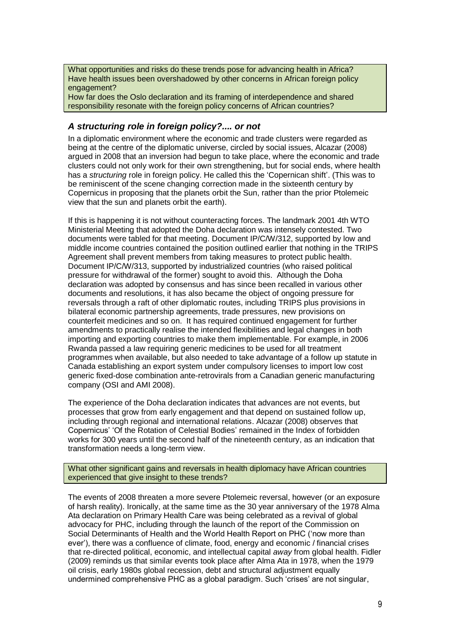What opportunities and risks do these trends pose for advancing health in Africa? Have health issues been overshadowed by other concerns in African foreign policy engagement?

How far does the Oslo declaration and its framing of interdependence and shared responsibility resonate with the foreign policy concerns of African countries?

#### <span id="page-9-0"></span>*A structuring role in foreign policy?.... or not*

In a diplomatic environment where the economic and trade clusters were regarded as being at the centre of the diplomatic universe, circled by social issues, Alcazar (2008) argued in 2008 that an inversion had begun to take place, where the economic and trade clusters could not only work for their own strengthening, but for social ends, where health has a *structuring* role in foreign policy. He called this the 'Copernican shift'. (This was to be reminiscent of the scene changing correction made in the sixteenth century by Copernicus in proposing that the planets orbit the Sun, rather than the prior Ptolemeic view that the sun and planets orbit the earth).

If this is happening it is not without counteracting forces. The landmark 2001 4th WTO Ministerial Meeting that adopted the Doha declaration was intensely contested. Two documents were tabled for that meeting. Document IP/C/W/312, supported by low and middle income countries contained the position outlined earlier that nothing in the TRIPS Agreement shall prevent members from taking measures to protect public health. Document IP/C/W/313, supported by industrialized countries (who raised political pressure for withdrawal of the former) sought to avoid this. Although the Doha declaration was adopted by consensus and has since been recalled in various other documents and resolutions, it has also became the object of ongoing pressure for reversals through a raft of other diplomatic routes, including TRIPS plus provisions in bilateral economic partnership agreements, trade pressures, new provisions on counterfeit medicines and so on. It has required continued engagement for further amendments to practically realise the intended flexibilities and legal changes in both importing and exporting countries to make them implementable. For example, in 2006 Rwanda passed a law requiring generic medicines to be used for all treatment programmes when available, but also needed to take advantage of a follow up statute in Canada establishing an export system under compulsory licenses to import low cost generic fixed-dose combination ante-retrovirals from a Canadian generic manufacturing company (OSI and AMI 2008).

The experience of the Doha declaration indicates that advances are not events, but processes that grow from early engagement and that depend on sustained follow up, including through regional and international relations. Alcazar (2008) observes that Copernicus' 'Of the Rotation of Celestial Bodies' remained in the Index of forbidden works for 300 years until the second half of the nineteenth century, as an indication that transformation needs a long-term view.

What other significant gains and reversals in health diplomacy have African countries experienced that give insight to these trends?

The events of 2008 threaten a more severe Ptolemeic reversal, however (or an exposure of harsh reality). Ironically, at the same time as the 30 year anniversary of the 1978 Alma Ata declaration on Primary Health Care was being celebrated as a revival of global advocacy for PHC, including through the launch of the report of the Commission on Social Determinants of Health and the World Health Report on PHC ('now more than ever'), there was a confluence of climate, food, energy and economic / financial crises that re-directed political, economic, and intellectual capital *away* from global health. Fidler (2009) reminds us that similar events took place after Alma Ata in 1978, when the 1979 oil crisis, early 1980s global recession, debt and structural adjustment equally undermined comprehensive PHC as a global paradigm. Such 'crises' are not singular,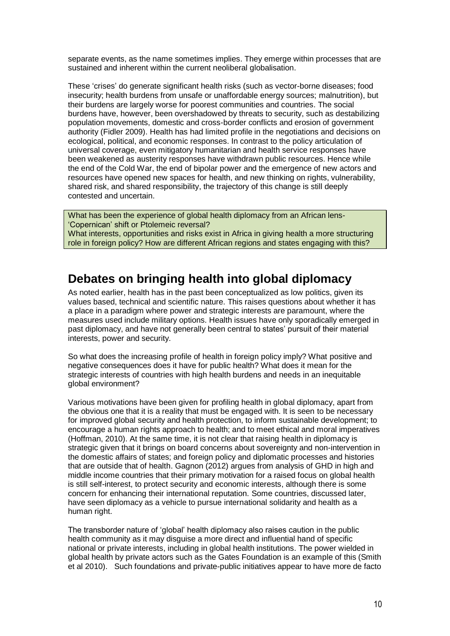separate events, as the name sometimes implies. They emerge within processes that are sustained and inherent within the current neoliberal globalisation.

These 'crises' do generate significant health risks (such as vector-borne diseases; food insecurity; health burdens from unsafe or unaffordable energy sources; malnutrition), but their burdens are largely worse for poorest communities and countries. The social burdens have, however, been overshadowed by threats to security, such as destabilizing population movements, domestic and cross-border conflicts and erosion of government authority (Fidler 2009). Health has had limited profile in the negotiations and decisions on ecological, political, and economic responses. In contrast to the policy articulation of universal coverage, even mitigatory humanitarian and health service responses have been weakened as austerity responses have withdrawn public resources. Hence while the end of the Cold War, the end of bipolar power and the emergence of new actors and resources have opened new spaces for health, and new thinking on rights, vulnerability, shared risk, and shared responsibility, the trajectory of this change is still deeply contested and uncertain.

What has been the experience of global health diplomacy from an African lens- 'Copernican' shift or Ptolemeic reversal? What interests, opportunities and risks exist in Africa in giving health a more structuring role in foreign policy? How are different African regions and states engaging with this?

# <span id="page-10-0"></span>**Debates on bringing health into global diplomacy**

As noted earlier, health has in the past been conceptualized as low politics, given its values based, technical and scientific nature. This raises questions about whether it has a place in a paradigm where power and strategic interests are paramount, where the measures used include military options. Health issues have only sporadically emerged in past diplomacy, and have not generally been central to states' pursuit of their material interests, power and security.

So what does the increasing profile of health in foreign policy imply? What positive and negative consequences does it have for public health? What does it mean for the strategic interests of countries with high health burdens and needs in an inequitable global environment?

Various motivations have been given for profiling health in global diplomacy, apart from the obvious one that it is a reality that must be engaged with. It is seen to be necessary for improved global security and health protection, to inform sustainable development; to encourage a human rights approach to health; and to meet ethical and moral imperatives (Hoffman, 2010). At the same time, it is not clear that raising health in diplomacy is strategic given that it brings on board concerns about sovereignty and non-intervention in the domestic affairs of states; and foreign policy and diplomatic processes and histories that are outside that of health. Gagnon (2012) argues from analysis of GHD in high and middle income countries that their primary motivation for a raised focus on global health is still self-interest, to protect security and economic interests, although there is some concern for enhancing their international reputation. Some countries, discussed later, have seen diplomacy as a vehicle to pursue international solidarity and health as a human right.

The transborder nature of 'global' health diplomacy also raises caution in the public health community as it may disguise a more direct and influential hand of specific national or private interests, including in global health institutions. The power wielded in global health by private actors such as the Gates Foundation is an example of this (Smith et al 2010). Such foundations and private-public initiatives appear to have more de facto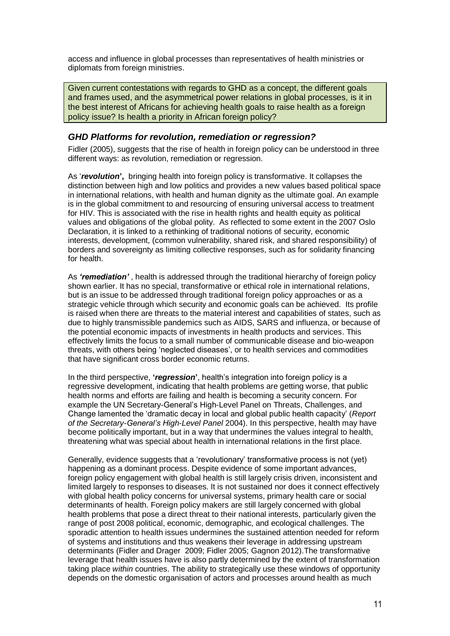access and influence in global processes than representatives of health ministries or diplomats from foreign ministries.

Given current contestations with regards to GHD as a concept, the different goals and frames used, and the asymmetrical power relations in global processes, is it in the best interest of Africans for achieving health goals to raise health as a foreign policy issue? Is health a priority in African foreign policy?

#### <span id="page-11-0"></span>*GHD Platforms for revolution, remediation or regression?*

Fidler (2005), suggests that the rise of health in foreign policy can be understood in three different ways: as revolution, remediation or regression.

As '*revolution***',** bringing health into foreign policy is transformative. It collapses the distinction between high and low politics and provides a new values based political space in international relations, with health and human dignity as the ultimate goal. An example is in the global commitment to and resourcing of ensuring universal access to treatment for HIV. This is associated with the rise in health rights and health equity as political values and obligations of the global polity. As reflected to some extent in the 2007 Oslo Declaration, it is linked to a rethinking of traditional notions of security, economic interests, development, (common vulnerability, shared risk, and shared responsibility) of borders and sovereignty as limiting collective responses, such as for solidarity financing for health.

As *'remediation'* , health is addressed through the traditional hierarchy of foreign policy shown earlier. It has no special, transformative or ethical role in international relations, but is an issue to be addressed through traditional foreign policy approaches or as a strategic vehicle through which security and economic goals can be achieved. Its profile is raised when there are threats to the material interest and capabilities of states, such as due to highly transmissible pandemics such as AIDS, SARS and influenza, or because of the potential economic impacts of investments in health products and services. This effectively limits the focus to a small number of communicable disease and bio-weapon threats, with others being 'neglected diseases', or to health services and commodities that have significant cross border economic returns.

In the third perspective, **'***regression***'**, health's integration into foreign policy is a regressive development, indicating that health problems are getting worse, that public health norms and efforts are failing and health is becoming a security concern. For example the UN Secretary-General's High-Level Panel on Threats, Challenges, and Change lamented the 'dramatic decay in local and global public health capacity' (*Report of the Secretary-General's High-Level Panel* 2004). In this perspective, health may have become politically important, but in a way that undermines the values integral to health, threatening what was special about health in international relations in the first place.

Generally, evidence suggests that a 'revolutionary' transformative process is not (yet) happening as a dominant process. Despite evidence of some important advances, foreign policy engagement with global health is still largely crisis driven, inconsistent and limited largely to responses to diseases. It is not sustained nor does it connect effectively with global health policy concerns for universal systems, primary health care or social determinants of health. Foreign policy makers are still largely concerned with global health problems that pose a direct threat to their national interests, particularly given the range of post 2008 political, economic, demographic, and ecological challenges. The sporadic attention to health issues undermines the sustained attention needed for reform of systems and institutions and thus weakens their leverage in addressing upstream determinants (Fidler and Drager 2009; Fidler 2005; Gagnon 2012).The transformative leverage that health issues have is also partly determined by the extent of transformation taking place *within* countries. The ability to strategically use these windows of opportunity depends on the domestic organisation of actors and processes around health as much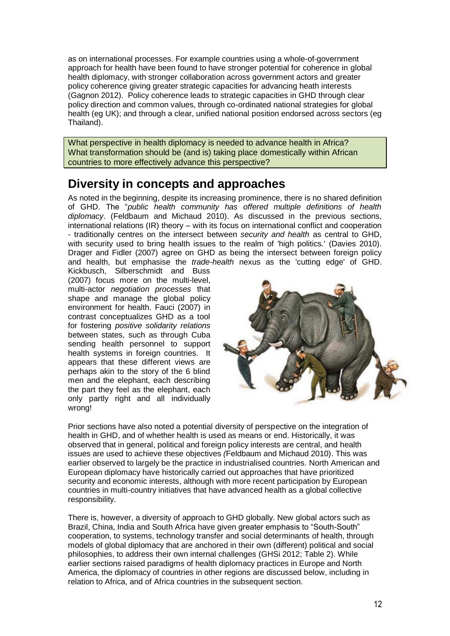as on international processes. For example countries using a whole-of-government approach for health have been found to have stronger potential for coherence in global health diplomacy, with stronger collaboration across government actors and greater policy coherence giving greater strategic capacities for advancing heath interests (Gagnon 2012). Policy coherence leads to strategic capacities in GHD through clear policy direction and common values, through co-ordinated national strategies for global health (eg UK); and through a clear, unified national position endorsed across sectors (eg Thailand).

What perspective in health diplomacy is needed to advance health in Africa? What transformation should be (and is) taking place domestically within African countries to more effectively advance this perspective?

## <span id="page-12-0"></span>**Diversity in concepts and approaches**

As noted in the beginning, despite its increasing prominence, there is no shared definition of GHD. The "*public health community has offered multiple definitions of health diplomacy*. (Feldbaum and Michaud 2010). As discussed in the previous sections, international relations (IR) theory – with its focus on international conflict and cooperation - traditionally centres on the intersect between *security and health* as central to GHD, with security used to bring health issues to the realm of 'high politics.' (Davies 2010). Drager and Fidler (2007) agree on GHD as being the intersect between foreign policy and health, but emphasise the *trade-health* nexus as the 'cutting edge' of GHD.

Kickbusch, Silberschmidt and Buss (2007) focus more on the multi-level, multi-actor *negotiation processes* that shape and manage the global policy environment for health. Fauci (2007) in contrast conceptualizes GHD as a tool for fostering *positive solidarity relations* between states, such as through Cuba sending health personnel to support health systems in foreign countries. It appears that these different views are perhaps akin to the story of the 6 blind men and the elephant, each describing the part they feel as the elephant, each only partly right and all individually wrong!



Prior sections have also noted a potential diversity of perspective on the integration of health in GHD, and of whether health is used as means or end. Historically, it was observed that in general, political and foreign policy interests are central, and health issues are used to achieve these objectives *(*Feldbaum and Michaud 2010). This was earlier observed to largely be the practice in industrialised countries. North American and European diplomacy have historically carried out approaches that have prioritized security and economic interests, although with more recent participation by European countries in multi-country initiatives that have advanced health as a global collective responsibility.

There is, however, a diversity of approach to GHD globally. New global actors such as Brazil, China, India and South Africa have given greater emphasis to "South-South" cooperation, to systems, technology transfer and social determinants of health, through models of global diplomacy that are anchored in their own (different) political and social philosophies, to address their own internal challenges (GHSi 2012; Table 2). While earlier sections raised paradigms of health diplomacy practices in Europe and North America, the diplomacy of countries in other regions are discussed below, including in relation to Africa, and of Africa countries in the subsequent section.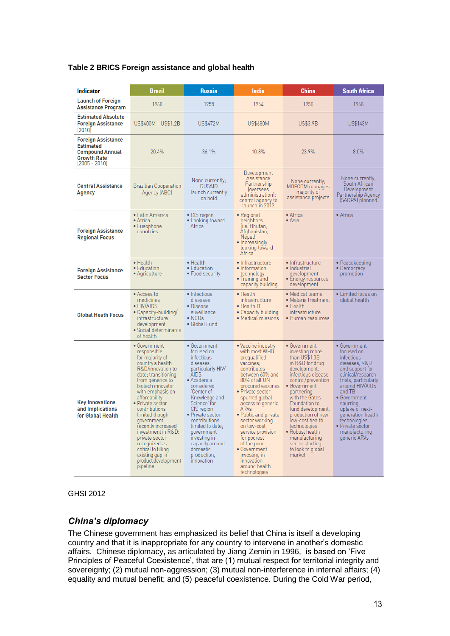#### **Table 2 BRICS Foreign assistance and global health**

| <b>Indicator</b>                                                                                        | <b>Brazil</b>                                                                                                                                                                                                                                                                                                                                                                                                                | <b>Russia</b>                                                                                                                                                                                                                                                                                                                        | India                                                                                                                                                                                                                                                                                                                                                                                                  | China                                                                                                                                                                                                                                                                                                                                                              | <b>South Africa</b>                                                                                                                                                                                                                                                                             |
|---------------------------------------------------------------------------------------------------------|------------------------------------------------------------------------------------------------------------------------------------------------------------------------------------------------------------------------------------------------------------------------------------------------------------------------------------------------------------------------------------------------------------------------------|--------------------------------------------------------------------------------------------------------------------------------------------------------------------------------------------------------------------------------------------------------------------------------------------------------------------------------------|--------------------------------------------------------------------------------------------------------------------------------------------------------------------------------------------------------------------------------------------------------------------------------------------------------------------------------------------------------------------------------------------------------|--------------------------------------------------------------------------------------------------------------------------------------------------------------------------------------------------------------------------------------------------------------------------------------------------------------------------------------------------------------------|-------------------------------------------------------------------------------------------------------------------------------------------------------------------------------------------------------------------------------------------------------------------------------------------------|
| <b>Launch of Foreign</b><br><b>Assistance Program</b>                                                   | 1960                                                                                                                                                                                                                                                                                                                                                                                                                         | 1955                                                                                                                                                                                                                                                                                                                                 | 1964                                                                                                                                                                                                                                                                                                                                                                                                   | 1950                                                                                                                                                                                                                                                                                                                                                               | 1968                                                                                                                                                                                                                                                                                            |
| <b>Estimated Absolute</b><br><b>Foreign Assistance</b><br>[2010]                                        | US\$400M - US\$1.2B                                                                                                                                                                                                                                                                                                                                                                                                          | <b>US\$472M</b>                                                                                                                                                                                                                                                                                                                      | <b>US\$680M</b>                                                                                                                                                                                                                                                                                                                                                                                        | <b>US\$3.9B</b>                                                                                                                                                                                                                                                                                                                                                    | <b>US\$143M</b>                                                                                                                                                                                                                                                                                 |
| Foreign Assistance<br><b>Estimated</b><br><b>Compound Annual</b><br><b>Growth Rate</b><br>(2005 - 2010) | 20.4%                                                                                                                                                                                                                                                                                                                                                                                                                        | 36.1%                                                                                                                                                                                                                                                                                                                                | 10.8%                                                                                                                                                                                                                                                                                                                                                                                                  | 23.9%                                                                                                                                                                                                                                                                                                                                                              | 8.0%                                                                                                                                                                                                                                                                                            |
| <b>Central Assistance</b><br><b>Agency</b>                                                              | <b>Brazilian Cooperation</b><br>Agency (ABC)                                                                                                                                                                                                                                                                                                                                                                                 | None currently:<br><b>RUSAID</b><br>launch currently<br>on hold                                                                                                                                                                                                                                                                      | Development<br>Assistance<br>Partnership<br><i>coversees</i><br>administration);<br>central agency to<br>launch in 2012                                                                                                                                                                                                                                                                                | None currently;<br>MOFCOM manages<br>majority of<br>assistance projects                                                                                                                                                                                                                                                                                            | None currently;<br>South African<br>Development<br>Partnership Agency<br>(SADPA) planned                                                                                                                                                                                                        |
| <b>Foreign Assistance</b><br><b>Regional Focus</b>                                                      | $\bullet$ Latin America<br>$\bullet$ Africa<br>• Lusophone<br>countries                                                                                                                                                                                                                                                                                                                                                      | • CIS region<br>• Looking toward<br>Africa                                                                                                                                                                                                                                                                                           | • Regional<br>neighbors<br>li.e. Bhutan,<br>Afghanistan,<br>Nepall<br>• Increasingly<br>looking toward<br>Africa                                                                                                                                                                                                                                                                                       | $\bullet$ Africa<br>• Asia                                                                                                                                                                                                                                                                                                                                         | • Africa                                                                                                                                                                                                                                                                                        |
| <b>Foreign Assistance</b><br><b>Sector Focus</b>                                                        | $\bullet$ Health<br>• Education<br>• Agriculture                                                                                                                                                                                                                                                                                                                                                                             | $\bullet$ Health<br>• Education<br>• Food security                                                                                                                                                                                                                                                                                   | · Infrastructure<br>• Information<br>technology<br>• Training and<br>capacity building                                                                                                                                                                                                                                                                                                                 | • Infrastructure<br>• Industrial<br>development<br>• Energy resources<br>development                                                                                                                                                                                                                                                                               | • Peacekeeping<br>• Democracy<br>promotion                                                                                                                                                                                                                                                      |
| <b>Global Heath Focus</b>                                                                               | • Access to<br>medicines<br>$\bullet$ HIV/AIDS<br>• Capacity-building/<br>infrastructure<br>development<br>• Social determinants<br>of health                                                                                                                                                                                                                                                                                | • Infectious<br>diseases<br>• Disease<br>suveillance<br>$\bullet$ NCDs<br>• Global Fund                                                                                                                                                                                                                                              | $\bullet$ Health<br>infrastructure<br>• Health IT<br>• Capacity building<br>· Medical missions                                                                                                                                                                                                                                                                                                         | • Medical teams<br>• Malaria treatment<br>• Health<br>infrastructure<br>• Human resources                                                                                                                                                                                                                                                                          | • Limited focus on<br>global health                                                                                                                                                                                                                                                             |
| <b>Key Innovations</b><br>and Implications<br>for Global Health                                         | • Government<br>responsible<br>for majority of<br>country's health<br>R&D/innovation to<br>date; transitioning<br>from generics to<br>biotech innovator<br>with emphasis on<br>affordability<br>• Private sector<br>contributions<br>limited though<br>qovernment<br>recently increased<br>investment in R&D<br>private sector<br>recognized as<br>critical to filling<br>existing gap in<br>product development<br>pipeline | • Government<br>focused on<br><i>infectious</i><br>diseases.<br>particularly HIV/<br>AIDS<br>• Academia<br>considered<br>Center of<br>Knowledge and<br>Science' for<br>CIS region<br>• Private sector<br>contributions<br>limited to date;<br>government<br>investing in<br>capacity around<br>domestic<br>production,<br>innovation | • Vaccine industry<br>with most WHO<br>prequalified<br>vaccines:<br>contributes<br>between 60% and<br>80% of all UN<br>procured vaccines<br>• Private sector<br>spurred global<br>access to generic<br>ARVs<br>• Public and private<br>sector working<br>on low-cost<br>service provision<br>for poorest<br>of the poor<br>• Government<br>investing in<br>innovation<br>around health<br>technologies | • Government<br>investing more<br>than US\$1.3B<br>in R&D for drug<br>development,<br>infectious disease<br>control/prevention<br>• Government<br>partnering<br>with the Gates<br>Foundation to<br>fund development,<br>production of new<br>low-cost health<br>technologies<br>• Robust health<br>manufacturing<br>sector starting<br>to look to global<br>market | • Government<br>focused on<br>infectious<br>diseases, R&D<br>and support for<br>clinical/research<br>trials, particularly<br>around HIV/AIDS<br>and TB<br>• Government<br>spurring<br>uptake of next-<br>generation health<br>technologies<br>• Private sector<br>manufacturing<br>generic ARVs |

GHSI 2012

#### <span id="page-13-0"></span>*China's diplomacy*

The Chinese government has emphasized its belief that China is itself a developing country and that it is inappropriate for any country to intervene in another's domestic affairs. Chinese diplomacy**,** as articulated by Jiang Zemin in 1996, is based on 'Five Principles of Peaceful Coexistence', that are (1) mutual respect for territorial integrity and sovereignty; (2) mutual non-aggression; (3) mutual non-interference in internal affairs; (4) equality and mutual benefit; and (5) peaceful coexistence. During the Cold War period,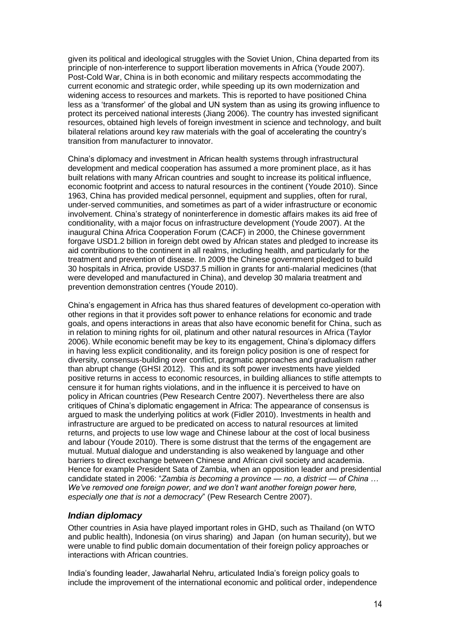given its political and ideological struggles with the Soviet Union, China departed from its principle of non-interference to support liberation movements in Africa (Youde 2007). Post-Cold War, China is in both economic and military respects accommodating the current economic and strategic order, while speeding up its own modernization and widening access to resources and markets. This is reported to have positioned China less as a 'transformer' of the global and UN system than as using its growing influence to protect its perceived national interests (Jiang 2006). The country has invested significant resources, obtained high levels of foreign investment in science and technology, and built bilateral relations around key raw materials with the goal of accelerating the country's transition from manufacturer to innovator.

China's diplomacy and investment in African health systems through infrastructural development and medical cooperation has assumed a more prominent place, as it has built relations with many African countries and sought to increase its political influence, economic footprint and access to natural resources in the continent (Youde 2010). Since 1963, China has provided medical personnel, equipment and supplies, often for rural, under-served communities, and sometimes as part of a wider infrastructure or economic involvement. China's strategy of noninterference in domestic affairs makes its aid free of conditionality, with a major focus on infrastructure development (Youde 2007). At the inaugural China Africa Cooperation Forum (CACF) in 2000, the Chinese government forgave USD1.2 billion in foreign debt owed by African states and pledged to increase its aid contributions to the continent in all realms, including health, and particularly for the treatment and prevention of disease. In 2009 the Chinese government pledged to build 30 hospitals in Africa, provide USD37.5 million in grants for anti-malarial medicines (that were developed and manufactured in China), and develop 30 malaria treatment and prevention demonstration centres (Youde 2010).

China's engagement in Africa has thus shared features of development co-operation with other regions in that it provides soft power to enhance relations for economic and trade goals, and opens interactions in areas that also have economic benefit for China, such as in relation to mining rights for oil, platinum and other natural resources in Africa (Taylor 2006). While economic benefit may be key to its engagement, China's diplomacy differs in having less explicit conditionality, and its foreign policy position is one of respect for diversity, consensus-building over conflict, pragmatic approaches and gradualism rather than abrupt change (GHSI 2012). This and its soft power investments have yielded positive returns in access to economic resources, in building alliances to stifle attempts to censure it for human rights violations, and in the influence it is perceived to have on policy in African countries (Pew Research Centre 2007). Nevertheless there are also critiques of China's diplomatic engagement in Africa: The appearance of consensus is argued to mask the underlying politics at work (Fidler 2010). Investments in health and infrastructure are argued to be predicated on access to natural resources at limited returns, and projects to use low wage and Chinese labour at the cost of local business and labour (Youde 2010). There is some distrust that the terms of the engagement are mutual. Mutual dialogue and understanding is also weakened by language and other barriers to direct exchange between Chinese and African civil society and academia. Hence for example President Sata of Zambia, when an opposition leader and presidential candidate stated in 2006: "*Zambia is becoming a province — no, a district — of China … We've removed one foreign power, and we don't want another foreign power here, especially one that is not a democracy*" (Pew Research Centre 2007).

#### <span id="page-14-0"></span>*Indian diplomacy*

Other countries in Asia have played important roles in GHD, such as Thailand (on WTO and public health), Indonesia (on virus sharing) and Japan (on human security), but we were unable to find public domain documentation of their foreign policy approaches or interactions with African countries.

India's founding leader, Jawaharlal Nehru, articulated India's foreign policy goals to include the improvement of the international economic and political order, independence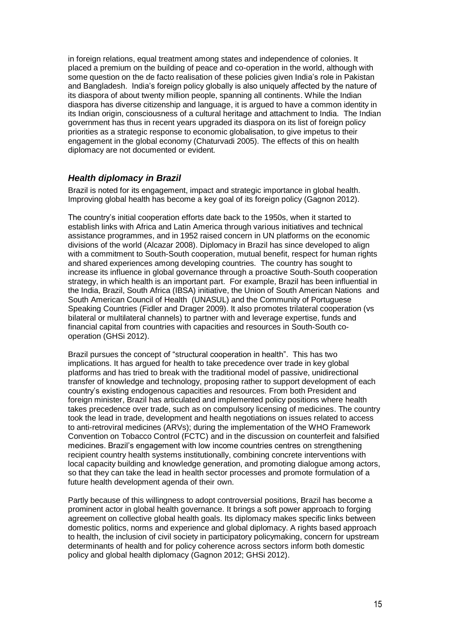in foreign relations, equal treatment among states and independence of colonies. It placed a premium on the building of peace and co-operation in the world, although with some question on the de facto realisation of these policies given India's role in Pakistan and Bangladesh. India's foreign policy globally is also uniquely affected by the nature of its diaspora of about twenty million people, spanning all continents. While the Indian diaspora has diverse citizenship and language, it is argued to have a common identity in its Indian origin, consciousness of a cultural heritage and attachment to India. The Indian government has thus in recent years upgraded its diaspora on its list of foreign policy priorities as a strategic response to economic globalisation, to give impetus to their engagement in the global economy (Chaturvadi 2005). The effects of this on health diplomacy are not documented or evident*.*

#### <span id="page-15-0"></span>*Health diplomacy in Brazil*

Brazil is noted for its engagement, impact and strategic importance in global health. Improving global health has become a key goal of its foreign policy (Gagnon 2012).

The country's initial cooperation efforts date back to the 1950s, when it started to establish links with Africa and Latin America through various initiatives and technical assistance programmes, and in 1952 raised concern in UN platforms on the economic divisions of the world (Alcazar 2008). Diplomacy in Brazil has since developed to align with a commitment to South-South cooperation, mutual benefit, respect for human rights and shared experiences among developing countries. The country has sought to increase its influence in global governance through a proactive South-South cooperation strategy, in which health is an important part. For example, Brazil has been influential in the India, Brazil, South Africa (IBSA) initiative, the Union of South American Nations and South American Council of Health (UNASUL) and the Community of Portuguese Speaking Countries (Fidler and Drager 2009). It also promotes trilateral cooperation (vs bilateral or multilateral channels) to partner with and leverage expertise, funds and financial capital from countries with capacities and resources in South-South cooperation (GHSi 2012).

Brazil pursues the concept of "structural cooperation in health". This has two implications. It has argued for health to take precedence over trade in key global platforms and has tried to break with the traditional model of passive, unidirectional transfer of knowledge and technology, proposing rather to support development of each country's existing endogenous capacities and resources. From both President and foreign minister, Brazil has articulated and implemented policy positions where health takes precedence over trade, such as on compulsory licensing of medicines. The country took the lead in trade, development and health negotiations on issues related to access to anti-retroviral medicines (ARVs); during the implementation of the WHO Framework Convention on Tobacco Control (FCTC) and in the discussion on counterfeit and falsified medicines. Brazil's engagement with low income countries centres on strengthening recipient country health systems institutionally, combining concrete interventions with local capacity building and knowledge generation, and promoting dialogue among actors, so that they can take the lead in health sector processes and promote formulation of a future health development agenda of their own.

Partly because of this willingness to adopt controversial positions, Brazil has become a prominent actor in global health governance. It brings a soft power approach to forging agreement on collective global health goals. Its diplomacy makes specific links between domestic politics, norms and experience and global diplomacy. A rights based approach to health, the inclusion of civil society in participatory policymaking, concern for upstream determinants of health and for policy coherence across sectors inform both domestic policy and global health diplomacy (Gagnon 2012; GHSi 2012).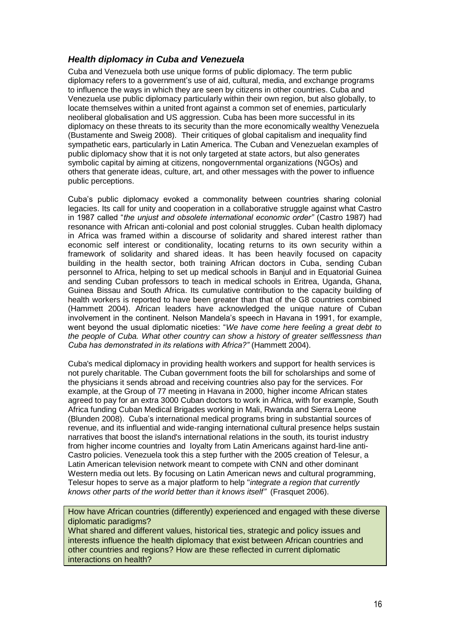#### <span id="page-16-0"></span>*Health diplomacy in Cuba and Venezuela*

Cuba and Venezuela both use unique forms of public diplomacy. The term public diplomacy refers to a government's use of aid, cultural, media, and exchange programs to influence the ways in which they are seen by citizens in other countries. Cuba and Venezuela use public diplomacy particularly within their own region, but also globally, to locate themselves within a united front against a common set of enemies, particularly neoliberal globalisation and US aggression. Cuba has been more successful in its diplomacy on these threats to its security than the more economically wealthy Venezuela (Bustamente and Sweig 2008). Their critiques of global capitalism and inequality find sympathetic ears, particularly in Latin America. The Cuban and Venezuelan examples of public diplomacy show that it is not only targeted at state actors, but also generates symbolic capital by aiming at citizens, nongovernmental organizations (NGOs) and others that generate ideas, culture, art, and other messages with the power to influence public perceptions.

Cuba's public diplomacy evoked a commonality between countries sharing colonial legacies. Its call for unity and cooperation in a collaborative struggle against what Castro in 1987 called "*the unjust and obsolete international economic order"* (Castro 1987) had resonance with African anti-colonial and post colonial struggles. Cuban health diplomacy in Africa was framed within a discourse of solidarity and shared interest rather than economic self interest or conditionality, locating returns to its own security within a framework of solidarity and shared ideas. It has been heavily focused on capacity building in the health sector, both training African doctors in Cuba, sending Cuban personnel to Africa, helping to set up medical schools in Banjul and in Equatorial Guinea and sending Cuban professors to teach in medical schools in Eritrea, Uganda, Ghana, Guinea Bissau and South Africa. Its cumulative contribution to the capacity building of health workers is reported to have been greater than that of the G8 countries combined (Hammett 2004). African leaders have acknowledged the unique nature of Cuban involvement in the continent. Nelson Mandela's speech in Havana in 1991, for example, went beyond the usual diplomatic niceties: "*We have come here feeling a great debt to the people of Cuba. What other country can show a history of greater selflessness than Cuba has demonstrated in its relations with Africa?"* (Hammett 2004).

Cuba's medical diplomacy in providing health workers and support for health services is not purely charitable. The Cuban government foots the bill for scholarships and some of the physicians it sends abroad and receiving countries also pay for the services. For example, at the Group of 77 meeting in Havana in 2000, higher income African states agreed to pay for an extra 3000 Cuban doctors to work in Africa, with for example, South Africa funding Cuban Medical Brigades working in Mali, Rwanda and Sierra Leone (Blunden 2008). Cuba's international medical programs bring in substantial sources of revenue, and its influential and wide-ranging international cultural presence helps sustain narratives that boost the island's international relations in the south, its tourist industry from higher income countries and loyalty from Latin Americans against hard-line anti-Castro policies. Venezuela took this a step further with the 2005 creation of Telesur, a Latin American television network meant to compete with CNN and other dominant Western media out lets. By focusing on Latin American news and cultural programming, Telesur hopes to serve as a major platform to help "*integrate a region that currently knows other parts of the world better than it knows itself"* (Frasquet 2006).

How have African countries (differently) experienced and engaged with these diverse diplomatic paradigms?

What shared and different values, historical ties, strategic and policy issues and interests influence the health diplomacy that exist between African countries and other countries and regions? How are these reflected in current diplomatic interactions on health?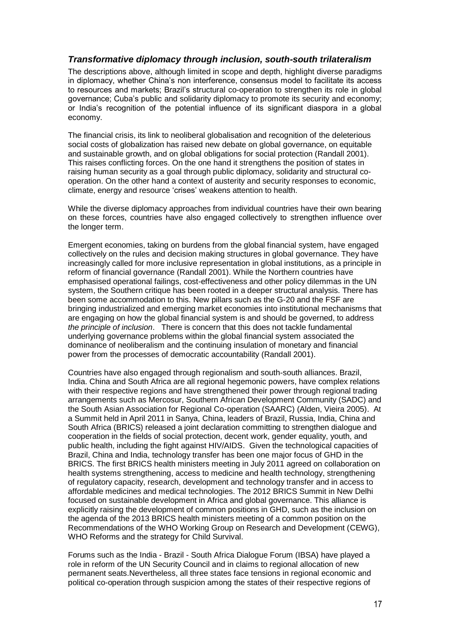#### <span id="page-17-0"></span>*Transformative diplomacy through inclusion, south-south trilateralism*

The descriptions above, although limited in scope and depth, highlight diverse paradigms in diplomacy, whether China's non interference, consensus model to facilitate its access to resources and markets; Brazil's structural co-operation to strengthen its role in global governance; Cuba's public and solidarity diplomacy to promote its security and economy; or India's recognition of the potential influence of its significant diaspora in a global economy.

The financial crisis, its link to neoliberal globalisation and recognition of the deleterious social costs of globalization has raised new debate on global governance, on equitable and sustainable growth, and on global obligations for social protection (Randall 2001). This raises conflicting forces. On the one hand it strengthens the position of states in raising human security as a goal through public diplomacy, solidarity and structural cooperation. On the other hand a context of austerity and security responses to economic, climate, energy and resource 'crises' weakens attention to health.

While the diverse diplomacy approaches from individual countries have their own bearing on these forces, countries have also engaged collectively to strengthen influence over the longer term.

Emergent economies, taking on burdens from the global financial system, have engaged collectively on the rules and decision making structures in global governance. They have increasingly called for more inclusive representation in global institutions, as a principle in reform of financial governance (Randall 2001). While the Northern countries have emphasised operational failings, cost-effectiveness and other policy dilemmas in the UN system, the Southern critique has been rooted in a deeper structural analysis. There has been some accommodation to this. New pillars such as the G-20 and the FSF are bringing industrialized and emerging market economies into institutional mechanisms that are engaging on how the global financial system is and should be governed, to address *the principle of inclusion*. There is concern that this does not tackle fundamental underlying governance problems within the global financial system associated the dominance of neoliberalism and the continuing insulation of monetary and financial power from the processes of democratic accountability (Randall 2001).

Countries have also engaged through regionalism and south-south alliances. Brazil, India. China and South Africa are all regional hegemonic powers, have complex relations with their respective regions and have strengthened their power through regional trading arrangements such as Mercosur, Southern African Development Community (SADC) and the South Asian Association for Regional Co-operation (SAARC) (Alden, Vieira 2005). At a Summit held in April 2011 in Sanya, China, leaders of Brazil, Russia, India, China and South Africa (BRICS) released a joint declaration committing to strengthen dialogue and cooperation in the fields of social protection, decent work, gender equality, youth, and public health, including the fight against HIV/AIDS. Given the technological capacities of Brazil, China and India, technology transfer has been one major focus of GHD in the BRICS. The first BRICS health ministers meeting in July 2011 agreed on collaboration on health systems strengthening, access to medicine and health technology, strengthening of regulatory capacity, research, development and technology transfer and in access to affordable medicines and medical technologies. The 2012 BRICS Summit in New Delhi focused on sustainable development in Africa and global governance. This alliance is explicitly raising the development of common positions in GHD, such as the inclusion on the agenda of the 2013 BRICS health ministers meeting of a common position on the Recommendations of the WHO Working Group on Research and Development (CEWG), WHO Reforms and the strategy for Child Survival.

Forums such as the India - Brazil - South Africa Dialogue Forum (IBSA) have played a role in reform of the UN Security Council and in claims to regional allocation of new permanent seats.Nevertheless, all three states face tensions in regional economic and political co-operation through suspicion among the states of their respective regions of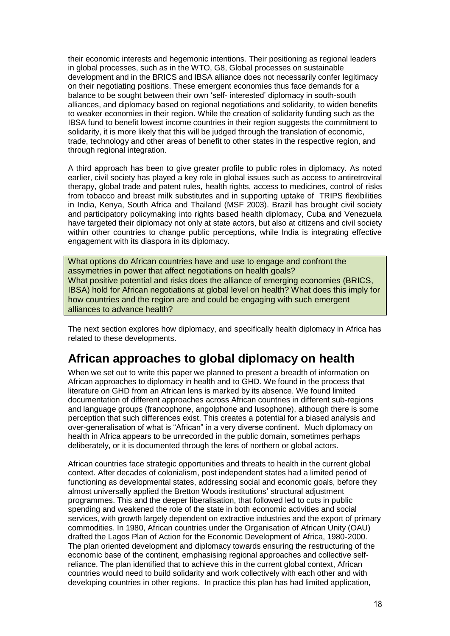their economic interests and hegemonic intentions. Their positioning as regional leaders in global processes, such as in the WTO, G8, Global processes on sustainable development and in the BRICS and IBSA alliance does not necessarily confer legitimacy on their negotiating positions. These emergent economies thus face demands for a balance to be sought between their own 'self- interested' diplomacy in south-south alliances, and diplomacy based on regional negotiations and solidarity, to widen benefits to weaker economies in their region. While the creation of solidarity funding such as the IBSA fund to benefit lowest income countries in their region suggests the commitment to solidarity, it is more likely that this will be judged through the translation of economic, trade, technology and other areas of benefit to other states in the respective region, and through regional integration.

A third approach has been to give greater profile to public roles in diplomacy. As noted earlier, civil society has played a key role in global issues such as access to antiretroviral therapy, global trade and patent rules, health rights, access to medicines, control of risks from tobacco and breast milk substitutes and in supporting uptake of TRIPS flexibilities in India, Kenya, South Africa and Thailand (MSF 2003). Brazil has brought civil society and participatory policymaking into rights based health diplomacy, Cuba and Venezuela have targeted their diplomacy not only at state actors, but also at citizens and civil society within other countries to change public perceptions, while India is integrating effective engagement with its diaspora in its diplomacy.

What options do African countries have and use to engage and confront the assymetries in power that affect negotiations on health goals? What positive potential and risks does the alliance of emerging economies (BRICS, IBSA) hold for African negotiations at global level on health? What does this imply for how countries and the region are and could be engaging with such emergent alliances to advance health?

The next section explores how diplomacy, and specifically health diplomacy in Africa has related to these developments.

### <span id="page-18-0"></span>**African approaches to global diplomacy on health**

When we set out to write this paper we planned to present a breadth of information on African approaches to diplomacy in health and to GHD. We found in the process that literature on GHD from an African lens is marked by its absence. We found limited documentation of different approaches across African countries in different sub-regions and language groups (francophone, angolphone and lusophone), although there is some perception that such differences exist. This creates a potential for a biased analysis and over-generalisation of what is "African" in a very diverse continent. Much diplomacy on health in Africa appears to be unrecorded in the public domain, sometimes perhaps deliberately, or it is documented through the lens of northern or global actors.

African countries face strategic opportunities and threats to health in the current global context. After decades of colonialism, post independent states had a limited period of functioning as developmental states, addressing social and economic goals, before they almost universally applied the Bretton Woods institutions' structural adjustment programmes. This and the deeper liberalisation, that followed led to cuts in public spending and weakened the role of the state in both economic activities and social services, with growth largely dependent on extractive industries and the export of primary commodities. In 1980, African countries under the Organisation of African Unity (OAU) drafted the Lagos Plan of Action for the Economic Development of Africa, 1980-2000. The plan oriented development and diplomacy towards ensuring the restructuring of the economic base of the continent, emphasising regional approaches and collective selfreliance. The plan identified that to achieve this in the current global context, African countries would need to build solidarity and work collectively with each other and with developing countries in other regions. In practice this plan has had limited application,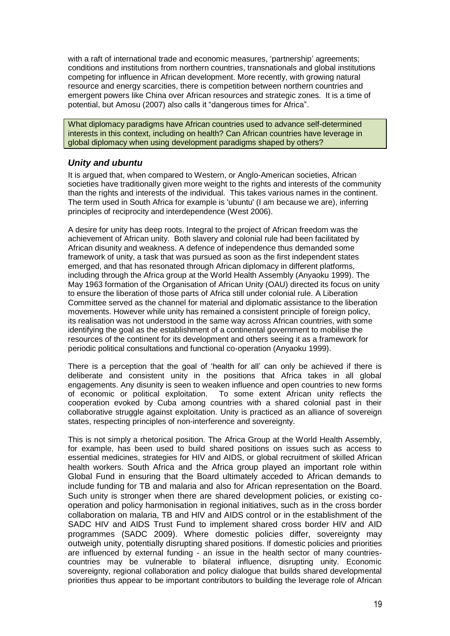with a raft of international trade and economic measures, 'partnership' agreements; conditions and institutions from northern countries, transnationals and global institutions competing for influence in African development. More recently, with growing natural resource and energy scarcities, there is competition between northern countries and emergent powers like China over African resources and strategic zones. It is a time of potential, but Amosu (2007) also calls it "dangerous times for Africa".

What diplomacy paradigms have African countries used to advance self-determined interests in this context, including on health? Can African countries have leverage in global diplomacy when using development paradigms shaped by others?

#### <span id="page-19-0"></span>*Unity and ubuntu*

It is argued that, when compared to Western, or Anglo-American societies, African societies have traditionally given more weight to the rights and interests of the community than the rights and interests of the individual. This takes various names in the continent. The term used in South Africa for example is 'ubuntu' (I am because we are), inferring principles of reciprocity and interdependence (West 2006).

A desire for unity has deep roots. Integral to the project of African freedom was the achievement of African unity. Both slavery and colonial rule had been facilitated by African disunity and weakness. A defence of independence thus demanded some framework of unity, a task that was pursued as soon as the first independent states emerged, and that has resonated through African diplomacy in different platforms, including through the Africa group at the World Health Assembly (Anyaoku 1999). The May 1963 formation of the Organisation of African Unity (OAU) directed its focus on unity to ensure the liberation of those parts of Africa still under colonial rule. A Liberation Committee served as the channel for material and diplomatic assistance to the liberation movements. However while unity has remained a consistent principle of foreign policy, its realisation was not understood in the same way across African countries, with some identifying the goal as the establishment of a continental government to mobilise the resources of the continent for its development and others seeing it as a framework for periodic political consultations and functional co-operation (Anyaoku 1999).

There is a perception that the goal of 'health for all' can only be achieved if there is deliberate and consistent unity in the positions that Africa takes in all global engagements. Any disunity is seen to weaken influence and open countries to new forms of economic or political exploitation. To some extent African unity reflects the cooperation evoked by Cuba among countries with a shared colonial past in their collaborative struggle against exploitation. Unity is practiced as an alliance of sovereign states, respecting principles of non-interference and sovereignty.

This is not simply a rhetorical position. The Africa Group at the World Health Assembly, for example, has been used to build shared positions on issues such as access to essential medicines, strategies for HIV and AIDS, or global recruitment of skilled African health workers. South Africa and the Africa group played an important role within Global Fund in ensuring that the Board ultimately acceded to African demands to include funding for TB and malaria and also for African representation on the Board. Such unity is stronger when there are shared development policies, or existing cooperation and policy harmonisation in regional initiatives, such as in the cross border collaboration on malaria, TB and HIV and AIDS control or in the establishment of the SADC HIV and AIDS Trust Fund to implement shared cross border HIV and AID programmes (SADC 2009). Where domestic policies differ, sovereignty may outweigh unity, potentially disrupting shared positions. If domestic policies and priorities are influenced by external funding - an issue in the health sector of many countriescountries may be vulnerable to bilateral influence, disrupting unity. Economic sovereignty, regional collaboration and policy dialogue that builds shared developmental priorities thus appear to be important contributors to building the leverage role of African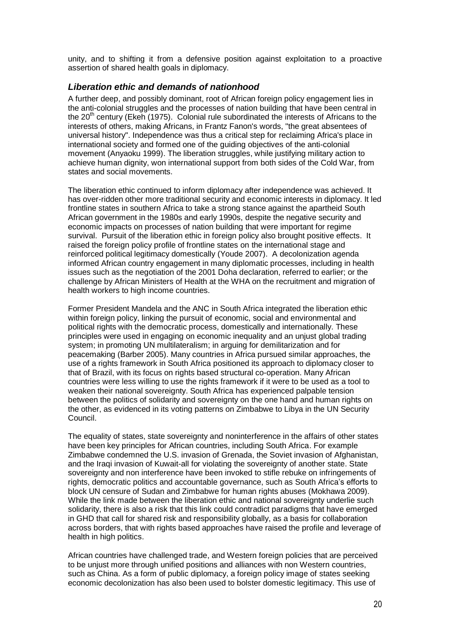unity, and to shifting it from a defensive position against exploitation to a proactive assertion of shared health goals in diplomacy.

#### <span id="page-20-0"></span>*Liberation ethic and demands of nationhood*

A further deep, and possibly dominant, root of African foreign policy engagement lies in the anti-colonial struggles and the processes of nation building that have been central in the  $20<sup>th</sup>$  century (Ekeh (1975). Colonial rule subordinated the interests of Africans to the interests of others, making Africans, in Frantz Fanon's words, "the great absentees of universal history". Independence was thus a critical step for reclaiming Africa's place in international society and formed one of the guiding objectives of the anti-colonial movement (Anyaoku 1999). The liberation struggles, while justifying military action to achieve human dignity, won international support from both sides of the Cold War, from states and social movements.

The liberation ethic continued to inform diplomacy after independence was achieved. It has over-ridden other more traditional security and economic interests in diplomacy. It led frontline states in southern Africa to take a strong stance against the apartheid South African government in the 1980s and early 1990s, despite the negative security and economic impacts on processes of nation building that were important for regime survival. Pursuit of the liberation ethic in foreign policy also brought positive effects. It raised the foreign policy profile of frontline states on the international stage and reinforced political legitimacy domestically (Youde 2007). A decolonization agenda informed African country engagement in many diplomatic processes, including in health issues such as the negotiation of the 2001 Doha declaration, referred to earlier; or the challenge by African Ministers of Health at the WHA on the recruitment and migration of health workers to high income countries.

Former President Mandela and the ANC in South Africa integrated the liberation ethic within foreign policy, linking the pursuit of economic, social and environmental and political rights with the democratic process, domestically and internationally. These principles were used in engaging on economic inequality and an unjust global trading system; in promoting UN multilateralism; in arguing for demilitarization and for peacemaking (Barber 2005). Many countries in Africa pursued similar approaches, the use of a rights framework in South Africa positioned its approach to diplomacy closer to that of Brazil, with its focus on rights based structural co-operation. Many African countries were less willing to use the rights framework if it were to be used as a tool to weaken their national sovereignty. South Africa has experienced palpable tension between the politics of solidarity and sovereignty on the one hand and human rights on the other, as evidenced in its voting patterns on Zimbabwe to Libya in the UN Security Council.

The equality of states, state sovereignty and noninterference in the affairs of other states have been key principles for African countries, including South Africa. For example Zimbabwe condemned the U.S. invasion of Grenada, the Soviet invasion of Afghanistan, and the Iraqi invasion of Kuwait-all for violating the sovereignty of another state. State sovereignty and non interference have been invoked to stifle rebuke on infringements of rights, democratic politics and accountable governance, such as South Africa's efforts to block UN censure of Sudan and Zimbabwe for human rights abuses (Mokhawa 2009). While the link made between the liberation ethic and national sovereignty underlie such solidarity, there is also a risk that this link could contradict paradigms that have emerged in GHD that call for shared risk and responsibility globally, as a basis for collaboration across borders, that with rights based approaches have raised the profile and leverage of health in high politics.

African countries have challenged trade, and Western foreign policies that are perceived to be unjust more through unified positions and alliances with non Western countries, such as China. As a form of public diplomacy, a foreign policy image of states seeking economic decolonization has also been used to bolster domestic legitimacy. This use of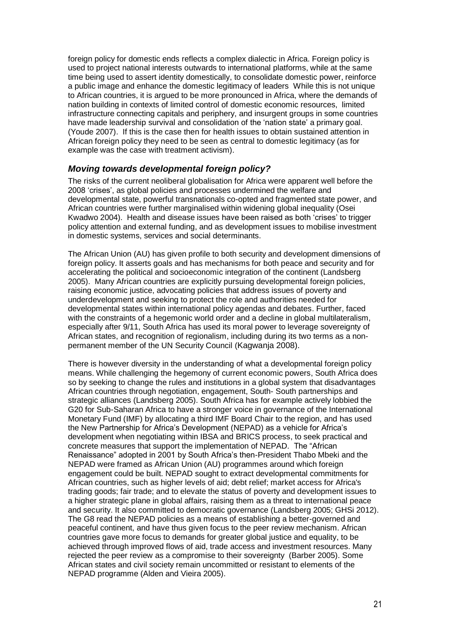foreign policy for domestic ends reflects a complex dialectic in Africa. Foreign policy is used to project national interests outwards to international platforms, while at the same time being used to assert identity domestically, to consolidate domestic power, reinforce a public image and enhance the domestic legitimacy of leaders While this is not unique to African countries, it is argued to be more pronounced in Africa, where the demands of nation building in contexts of limited control of domestic economic resources, limited infrastructure connecting capitals and periphery, and insurgent groups in some countries have made leadership survival and consolidation of the 'nation state' a primary goal. (Youde 2007). If this is the case then for health issues to obtain sustained attention in African foreign policy they need to be seen as central to domestic legitimacy (as for example was the case with treatment activism).

#### <span id="page-21-0"></span>*Moving towards developmental foreign policy?*

The risks of the current neoliberal globalisation for Africa were apparent well before the 2008 'crises', as global policies and processes undermined the welfare and developmental state, powerful transnationals co-opted and fragmented state power, and African countries were further marginalised within widening global inequality (Osei Kwadwo 2004). Health and disease issues have been raised as both 'crises' to trigger policy attention and external funding, and as development issues to mobilise investment in domestic systems, services and social determinants.

The African Union (AU) has given profile to both security and development dimensions of foreign policy. It asserts goals and has mechanisms for both peace and security and for accelerating the political and socioeconomic integration of the continent (Landsberg 2005). Many African countries are explicitly pursuing developmental foreign policies, raising economic justice, advocating policies that address issues of poverty and underdevelopment and seeking to protect the role and authorities needed for developmental states within international policy agendas and debates. Further, faced with the constraints of a hegemonic world order and a decline in global multilateralism, especially after 9/11, South Africa has used its moral power to leverage sovereignty of African states, and recognition of regionalism, including during its two terms as a nonpermanent member of the UN Security Council (Kagwanja 2008).

There is however diversity in the understanding of what a developmental foreign policy means. While challenging the hegemony of current economic powers, South Africa does so by seeking to change the rules and institutions in a global system that disadvantages African countries through negotiation, engagement, South- South partnerships and strategic alliances (Landsberg 2005). South Africa has for example actively lobbied the G20 for Sub-Saharan Africa to have a stronger voice in governance of the International Monetary Fund (IMF) by allocating a third IMF Board Chair to the region, and has used the New Partnership for Africa's Development (NEPAD) as a vehicle for Africa's development when negotiating within IBSA and BRICS process, to seek practical and concrete measures that support the implementation of NEPAD. The "African Renaissance" adopted in 2001 by South Africa's then-President Thabo Mbeki and the NEPAD were framed as African Union (AU) programmes around which foreign engagement could be built. NEPAD sought to extract developmental commitments for African countries, such as higher levels of aid; debt relief; market access for Africa's trading goods; fair trade; and to elevate the status of poverty and development issues to a higher strategic plane in global affairs, raising them as a threat to international peace and security. It also committed to democratic governance (Landsberg 2005; GHSi 2012). The G8 read the NEPAD policies as a means of establishing a better-governed and peaceful continent, and have thus given focus to the peer review mechanism. African countries gave more focus to demands for greater global justice and equality, to be achieved through improved flows of aid, trade access and investment resources. Many rejected the peer review as a compromise to their sovereignty (Barber 2005). Some African states and civil society remain uncommitted or resistant to elements of the NEPAD programme (Alden and Vieira 2005).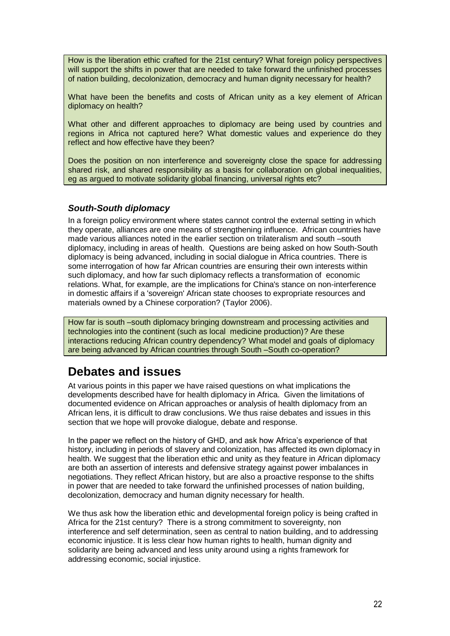How is the liberation ethic crafted for the 21st century? What foreign policy perspectives will support the shifts in power that are needed to take forward the unfinished processes of nation building, decolonization, democracy and human dignity necessary for health?

What have been the benefits and costs of African unity as a key element of African diplomacy on health?

What other and different approaches to diplomacy are being used by countries and regions in Africa not captured here? What domestic values and experience do they reflect and how effective have they been?

Does the position on non interference and sovereignty close the space for addressing shared risk, and shared responsibility as a basis for collaboration on global inequalities, eg as argued to motivate solidarity global financing, universal rights etc?

#### <span id="page-22-0"></span>*South-South diplomacy*

In a foreign policy environment where states cannot control the external setting in which they operate, alliances are one means of strengthening influence. African countries have made various alliances noted in the earlier section on trilateralism and south –south diplomacy, including in areas of health. Questions are being asked on how South-South diplomacy is being advanced, including in social dialogue in Africa countries. There is some interrogation of how far African countries are ensuring their own interests within such diplomacy, and how far such diplomacy reflects a transformation of economic relations. What, for example, are the implications for China's stance on non-interference in domestic affairs if a 'sovereign' African state chooses to expropriate resources and materials owned by a Chinese corporation? (Taylor 2006).

How far is south –south diplomacy bringing downstream and processing activities and technologies into the continent (such as local medicine production)? Are these interactions reducing African country dependency? What model and goals of diplomacy are being advanced by African countries through South –South co-operation?

## <span id="page-22-1"></span>**Debates and issues**

At various points in this paper we have raised questions on what implications the developments described have for health diplomacy in Africa. Given the limitations of documented evidence on African approaches or analysis of health diplomacy from an African lens, it is difficult to draw conclusions. We thus raise debates and issues in this section that we hope will provoke dialogue, debate and response.

In the paper we reflect on the history of GHD, and ask how Africa's experience of that history, including in periods of slavery and colonization, has affected its own diplomacy in health. We suggest that the liberation ethic and unity as they feature in African diplomacy are both an assertion of interests and defensive strategy against power imbalances in negotiations. They reflect African history, but are also a proactive response to the shifts in power that are needed to take forward the unfinished processes of nation building, decolonization, democracy and human dignity necessary for health.

We thus ask how the liberation ethic and developmental foreign policy is being crafted in Africa for the 21st century? There is a strong commitment to sovereignty, non interference and self determination, seen as central to nation building, and to addressing economic injustice. It is less clear how human rights to health, human dignity and solidarity are being advanced and less unity around using a rights framework for addressing economic, social injustice.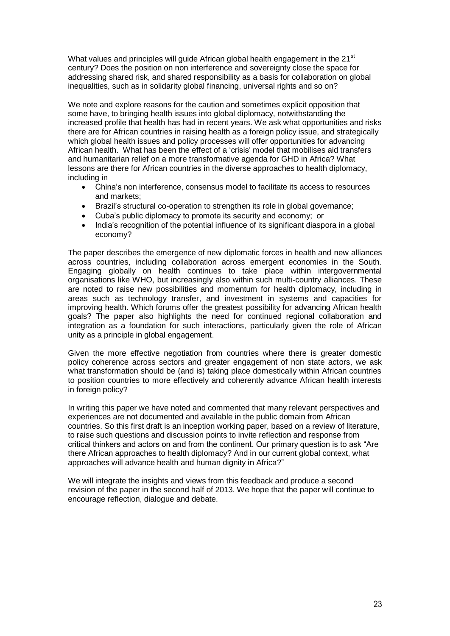What values and principles will guide African global health engagement in the 21<sup>st</sup> century? Does the position on non interference and sovereignty close the space for addressing shared risk, and shared responsibility as a basis for collaboration on global inequalities, such as in solidarity global financing, universal rights and so on?

We note and explore reasons for the caution and sometimes explicit opposition that some have, to bringing health issues into global diplomacy, notwithstanding the increased profile that health has had in recent years. We ask what opportunities and risks there are for African countries in raising health as a foreign policy issue, and strategically which global health issues and policy processes will offer opportunities for advancing African health. What has been the effect of a 'crisis' model that mobilises aid transfers and humanitarian relief on a more transformative agenda for GHD in Africa? What lessons are there for African countries in the diverse approaches to health diplomacy, including in

- China's non interference, consensus model to facilitate its access to resources and markets;
- Brazil's structural co-operation to strengthen its role in global governance;
- Cuba's public diplomacy to promote its security and economy; or
- India's recognition of the potential influence of its significant diaspora in a global economy?

The paper describes the emergence of new diplomatic forces in health and new alliances across countries, including collaboration across emergent economies in the South. Engaging globally on health continues to take place within intergovernmental organisations like WHO, but increasingly also within such multi-country alliances. These are noted to raise new possibilities and momentum for health diplomacy, including in areas such as technology transfer, and investment in systems and capacities for improving health. Which forums offer the greatest possibility for advancing African health goals? The paper also highlights the need for continued regional collaboration and integration as a foundation for such interactions, particularly given the role of African unity as a principle in global engagement.

Given the more effective negotiation from countries where there is greater domestic policy coherence across sectors and greater engagement of non state actors, we ask what transformation should be (and is) taking place domestically within African countries to position countries to more effectively and coherently advance African health interests in foreign policy?

In writing this paper we have noted and commented that many relevant perspectives and experiences are not documented and available in the public domain from African countries. So this first draft is an inception working paper, based on a review of literature, to raise such questions and discussion points to invite reflection and response from critical thinkers and actors on and from the continent. Our primary question is to ask "Are there African approaches to health diplomacy? And in our current global context, what approaches will advance health and human dignity in Africa?"

We will integrate the insights and views from this feedback and produce a second revision of the paper in the second half of 2013. We hope that the paper will continue to encourage reflection, dialogue and debate.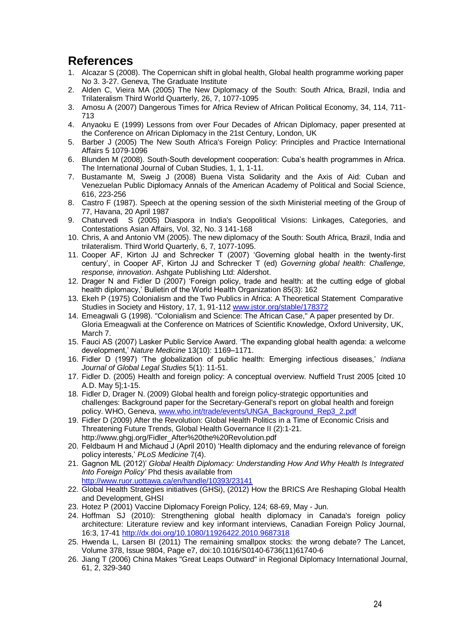# <span id="page-24-0"></span>**References**

- 1. Alcazar S (2008). The Copernican shift in global health, Global health programme working paper No 3. 3-27. Geneva, The Graduate Institute
- 2. Alden C, Vieira MA (2005) The New Diplomacy of the South: South Africa, Brazil, India and Trilateralism Third World Quarterly, 26, 7, 1077-1095
- 3. Amosu A (2007) Dangerous Times for Africa Review of African Political Economy, 34, 114, 711- 713
- 4. Anyaoku E (1999) Lessons from over Four Decades of African Diplomacy, paper presented at the Conference on African Diplomacy in the 21st Century, London, UK
- 5. Barber J (2005) The New South Africa's Foreign Policy: Principles and Practice International Affairs 5 1079-1096
- 6. Blunden M (2008). South-South development cooperation: Cuba's health programmes in Africa. The International Journal of Cuban Studies, 1, 1, 1-11.
- 7. Bustamante M, Sweig J (2008) Buena Vista Solidarity and the Axis of Aid: Cuban and Venezuelan Public Diplomacy Annals of the American Academy of Political and Social Science, 616, 223-256
- 8. Castro F (1987). Speech at the opening session of the sixth Ministerial meeting of the Group of 77, Havana, 20 April 1987
- 9. Chaturvedi S (2005) Diaspora in India's Geopolitical Visions: Linkages, Categories, and Contestations Asian Affairs, Vol. 32, No. 3 141-168
- 10. Chris, A and Antonio VM (2005). The new diplomacy of the South: South Africa, Brazil, India and trilateralism. Third World Quarterly, 6, 7, 1077-1095.
- 11. Cooper AF, Kirton JJ and Schrecker T (2007) 'Governing global health in the twenty-first century', in Cooper AF, Kirton JJ and Schrecker T (ed) *Governing global health: Challenge, response, innovation*. Ashgate Publishing Ltd: Aldershot.
- 12. Drager N and Fidler D (2007) 'Foreign policy, trade and health: at the cutting edge of global health diplomacy,' Bulletin of the World Health Organization 85(3): 162
- 13. Ekeh P (1975) Colonialism and the Two Publics in Africa: A Theoretical Statement Comparative Studies in Society and History, 17, 1, 91-112 [www.jstor.org/stable/178372](http://www.jstor.org/stable/178372)
- 14. Emeagwali G (1998). "Colonialism and Science: The African Case," A paper presented by Dr. Gloria Emeagwali at the Conference on Matrices of Scientific Knowledge, Oxford University, UK, March 7.
- 15. Fauci AS (2007) Lasker Public Service Award. 'The expanding global health agenda: a welcome development,' *Nature Medicine* 13(10): 1169–1171.
- 16. Fidler D (1997) 'The globalization of public health: Emerging infectious diseases,' *Indiana Journal of Global Legal Studies* 5(1): 11-51.
- 17. Fidler D. (2005) Health and foreign policy: A conceptual overview. Nuffield Trust 2005 [cited 10 A.D. May 5];1-15.
- 18. Fidler D, Drager N. (2009) Global health and foreign policy-strategic opportunities and challenges: Background paper for the Secretary-General's report on global health and foreign policy. WHO, Geneva[, www.who.int/trade/events/UNGA\\_Background\\_Rep3\\_2.pdf](http://www.who.int/trade/events/UNGA_Background_Rep3_2.pdf)
- 19. Fidler D (2009) After the Revolution: Global Health Politics in a Time of Economic Crisis and Threatening Future Trends, Global Health Governance II (2):1-21. http://www.ghgj.org/Fidler\_After%20the%20Revolution.pdf
- 20. Feldbaum H and Michaud J (April 2010) 'Health diplomacy and the enduring relevance of foreign policy interests,' *PLoS Medicine* 7(4).
- 21. Gagnon ML (2012)' *Global Health Diplomacy: Understanding How And Why Health Is Integrated Into Foreign Policy'* Phd thesis available from <http://www.ruor.uottawa.ca/en/handle/10393/23141>
- 22. Global Health Strategies initiatives (GHSi), (2012) How the BRICS Are Reshaping Global Health and Development, GHSI
- 23. Hotez P (2001) Vaccine Diplomacy Foreign Policy, 124; 68-69, May Jun.
- 24. Hoffman SJ (2010): Strengthening global health diplomacy in Canada's foreign policy architecture: Literature review and key informant interviews, Canadian Foreign Policy Journal, 16:3, 17-41<http://dx.doi.org/10.1080/11926422.2010.9687318>
- 25. Hwenda L, Larsen BI (2011) The remaining smallpox stocks: the wrong debate? The Lancet, Volume 378, Issue 9804, Page e7, doi:10.1016/S0140-6736(11)61740-6
- 26. Jiang T (2006) China Makes "Great Leaps Outward" in Regional Diplomacy International Journal, 61, 2, 329-340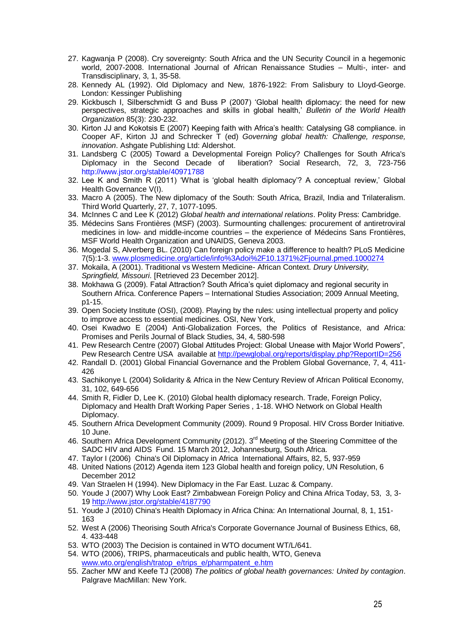- 27. Kagwanja P (2008). Cry sovereignty: South Africa and the UN Security Council in a hegemonic world, 2007-2008. International Journal of African Renaissance Studies – Multi-, inter- and Transdisciplinary, 3, 1, 35-58.
- 28. Kennedy AL (1992). Old Diplomacy and New, 1876-1922: From Salisbury to Lloyd-George. London: Kessinger Publishing
- 29. Kickbusch I, Silberschmidt G and Buss P (2007) 'Global health diplomacy: the need for new perspectives, strategic approaches and skills in global health,' *Bulletin of the World Health Organization* 85(3): 230-232.
- 30. Kirton JJ and Kokotsis E (2007) Keeping faith with Africa's health: Catalysing G8 compliance. in Cooper AF, Kirton JJ and Schrecker T (ed) *Governing global health: Challenge, response, innovation*. Ashgate Publishing Ltd: Aldershot.
- 31. Landsberg C (2005) Toward a Developmental Foreign Policy? Challenges for South Africa's liberation? Social Research, 72, 3, 723-756 http://www.jstor.org/stable/40971788
- 32. Lee K and Smith R (2011) 'What is 'global health diplomacy'? A conceptual review,' Global Health Governance V(I).
- 33. Macro A (2005). The New diplomacy of the South: South Africa, Brazil, India and Trilateralism. Third World Quarterly, 27, 7, 1077-1095.
- 34. McInnes C and Lee K (2012) *Global health and international relations*. Polity Press: Cambridge.
- 35. Médecins Sans Frontières (MSF) (2003). Surmounting challenges: procurement of antiretroviral medicines in low- and middle-income countries – the experience of Médecins Sans Frontières, MSF World Health Organization and UNAIDS, Geneva 2003.
- 36. Mogedal S, Alverberg BL. (2010) Can foreign policy make a difference to health? PLoS Medicine 7(5):1-3. [www.plosmedicine.org/article/info%3Adoi%2F10.1371%2Fjournal.pmed.1000274](http://www.plosmedicine.org/article/info%3Adoi%2F10.1371%2Fjournal.pmed.1000274)
- 37. Mokaila, A (2001). Traditional vs Western Medicine- African Context. *Drury University, Springfield, Missouri*. [Retrieved 23 December 2012].
- 38. Mokhawa G (2009). Fatal Attraction? South Africa's quiet diplomacy and regional security in Southern Africa. Conference Papers – International Studies Association; 2009 Annual Meeting, p1-15.
- 39. Open Society Institute (OSI), (2008). Playing by the rules: using intellectual property and policy to improve access to essential medicines. OSI, New York,
- 40. Osei Kwadwo E (2004) Anti-Globalization Forces, the Politics of Resistance, and Africa: Promises and Perils Journal of Black Studies, 34, 4, 580-598
- 41. Pew Research Centre (2007) Global Attitudes Project: Global Unease with Major World Powers", Pew Research Centre USA available at<http://pewglobal.org/reports/display.php?ReportID=256>
- 42. Randall D. (2001) Global Financial Governance and the Problem Global Governance, 7, 4, 411- 426
- 43. Sachikonye L (2004) Solidarity & Africa in the New Century Review of African Political Economy, 31, 102, 649-656
- 44. Smith R, Fidler D, Lee K. (2010) Global health diplomacy research. Trade, Foreign Policy, Diplomacy and Health Draft Working Paper Series , 1-18. WHO Network on Global Health Diplomacy.
- 45. Southern Africa Development Community (2009). Round 9 Proposal. HIV Cross Border Initiative. 10 June.
- 46. Southern Africa Development Community (2012). 3<sup>rd</sup> Meeting of the Steering Committee of the SADC HIV and AIDS Fund. 15 March 2012, Johannesburg, South Africa.
- 47. Taylor I (2006) China's Oil Diplomacy in Africa International Affairs, 82, 5, 937-959
- 48. United Nations (2012) Agenda item 123 Global health and foreign policy, UN Resolution, 6 December 2012
- 49. Van Straelen H (1994). New Diplomacy in the Far East. Luzac & Company.
- 50. Youde J (2007) Why Look East? Zimbabwean Foreign Policy and China Africa Today, 53, 3, 3- 19<http://www.jstor.org/stable/4187790>.
- 51. Youde J (2010) China's Health Diplomacy in Africa China: An International Journal, 8, 1, 151- 163
- 52. West A (2006) Theorising South Africa's Corporate Governance Journal of Business Ethics, 68, 4. 433-448
- 53. WTO (2003) The Decision is contained in WTO document WT/L/641.
- 54. WTO (2006), TRIPS, pharmaceuticals and public health, WTO, Geneva [www.wto.org/english/tratop\\_e/trips\\_e/pharmpatent\\_e.htm](http://www.wto.org/english/tratop_e/trips_e/pharmpatent_e.htm)
- 55. Zacher MW and Keefe TJ (2008) *The politics of global health governances: United by contagion*. Palgrave MacMillan: New York.